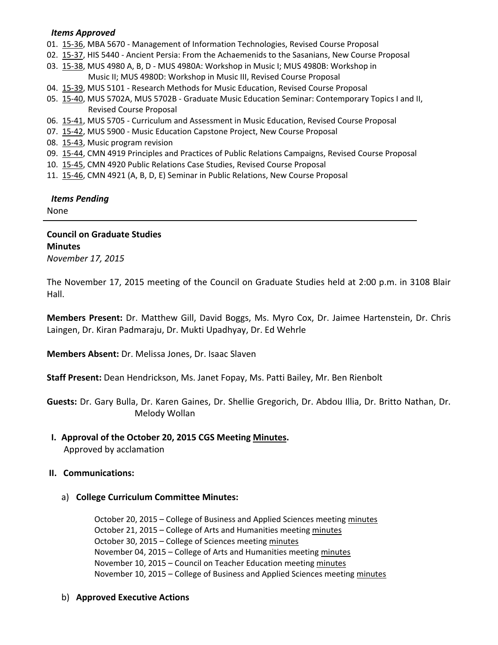#### *Items Approved*

- 01. [15-36,](http://castle.eiu.edu/~eiucgs/currentagendaitems/agenda15-36.pdf) MBA 5670 Management of Information Technologies, Revised Course Proposal
- 02. [15-37,](http://castle.eiu.edu/~eiucgs/currentagendaitems/agenda15-37.pdf) HIS 5440 Ancient Persia: From the Achaemenids to the Sasanians, New Course Proposal
- 03. [15-38,](http://castle.eiu.edu/~eiucgs/currentagendaitems/agenda15-38.pdf) MUS 4980 A, B, D MUS 4980A: Workshop in Music I; MUS 4980B: Workshop in Music II; MUS 4980D: Workshop in Music III, Revised Course Proposal
- 04. [15-39,](http://castle.eiu.edu/~eiucgs/currentagendaitems/agenda15-39.pdf) MUS 5101 Research Methods for Music Education, Revised Course Proposal
- 05. [15-40,](http://castle.eiu.edu/~eiucgs/currentagendaitems/agenda15-40.pdf) MUS 5702A, MUS 5702B Graduate Music Education Seminar: Contemporary Topics I and II, Revised Course Proposal
- 06. [15-41,](http://castle.eiu.edu/~eiucgs/currentagendaitems/agenda15-41.pdf) MUS 5705 Curriculum and Assessment in Music Education, Revised Course Proposal
- 07. [15-42,](http://castle.eiu.edu/~eiucgs/currentagendaitems/agenda15-42.pdf) MUS 5900 Music Education Capstone Project, New Course Proposal
- 08. [15-43,](http://castle.eiu.edu/~eiucgs/currentagendaitems/agenda15-43.pdf) Music program revision
- 09. [15-44,](http://castle.eiu.edu/~eiucgs/currentagendaitems/agenda15-44.pdf) CMN 4919 Principles and Practices of Public Relations Campaigns, Revised Course Proposal
- 10. [15-45,](http://castle.eiu.edu/~eiucgs/currentagendaitems/agenda15-45.pdf) CMN 4920 Public Relations Case Studies, Revised Course Proposal
- 11. [15-46,](http://castle.eiu.edu/~eiucgs/currentagendaitems/agenda15-46.pdf) CMN 4921 (A, B, D, E) Seminar in Public Relations, New Course Proposal

### *Items Pending*

None

# **Council on Graduate Studies Minutes**

*November 17, 2015*

The November 17, 2015 meeting of the Council on Graduate Studies held at 2:00 p.m. in 3108 Blair Hall.

**Members Present:** Dr. Matthew Gill, David Boggs, Ms. Myro Cox, Dr. Jaimee Hartenstein, Dr. Chris Laingen, Dr. Kiran Padmaraju, Dr. Mukti Upadhyay, Dr. Ed Wehrle

**Members Absent:** Dr. Melissa Jones, Dr. Isaac Slaven

**Staff Present:** Dean Hendrickson, Ms. Janet Fopay, Ms. Patti Bailey, Mr. Ben Rienbolt

**Guests:** Dr. Gary Bulla, Dr. Karen Gaines, Dr. Shellie Gregorich, Dr. Abdou Illia, Dr. Britto Nathan, Dr. Melody Wollan

 **I. Approval of the October 20, 2015 CGS Meeting [Minutes.](http://castle.eiu.edu/eiucgs/currentminutes/Minutes10-20-15.pdf)**

Approved by acclamation

### **II. Communications:**

a) **College Curriculum Committee Minutes:**

October 20, 2015 – College of Business and Applied Sciences meeting [minutes](http://castle.eiu.edu/~eiucgs/currentagendaitems/LCBASMin10-20-15.pdf) October 21, 2015 – College of Arts and Humanities meeting [minutes](http://castle.eiu.edu/~eiucgs/currentagendaitems/CAHMin10-21-15.pdf) October 30, 2015 - College of Sciences meeting [minutes](http://castle.eiu.edu/~eiucgs/currentagendaitems/COSMin10-30-15.pdf) November 04, 2015 – College of Arts and Humanities meetin[g minutes](http://castle.eiu.edu/~eiucgs/currentagendaitems/CAHMin11-04-15.pdf) November 10, 2015 – Council on Teacher Education meeting [minutes](http://castle.eiu.edu/~eiucgs/currentagendaitems/COTEMin11-10-15.pdf) November 10, 2015 – College of Business and Applied Sciences meeting [minutes](http://castle.eiu.edu/~eiucgs/currentagendaitems/LCBASMin11-10-15.pdf)

### b) **Approved Executive Actions**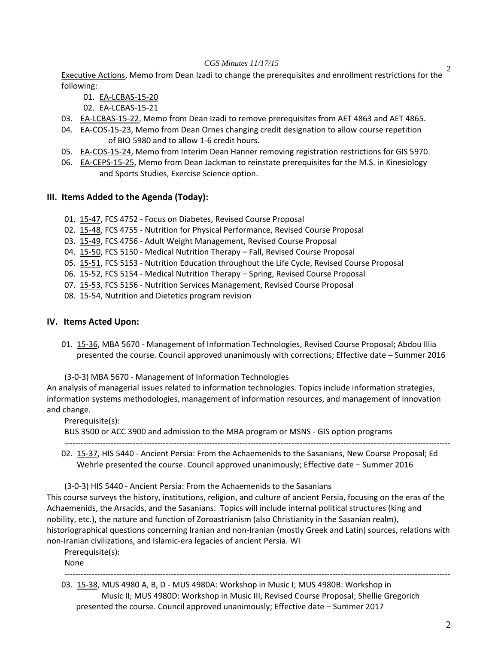[Executive Actions,](http://castle.eiu.edu/~eiucgs/exec-actions/EA_11-17-15.pdf) Memo from Dean Izadi to change the prerequisites and enrollment restrictions for the following:

- 01. [EA-LCBAS-15-20](http://castle.eiu.edu/~eiucgs/exec-actions/EA-LCBAS-15-20.pdf)
- 02. [EA-LCBAS-15-21](http://castle.eiu.edu/~eiucgs/exec-actions/EA-LCBAS-15-21.pdf)
- 03. [EA-LCBAS-15-22,](http://castle.eiu.edu/~eiucgs/exec-actions/EA-LCBAS-15-22.pdf) Memo from Dean Izadi to remove prerequisites from AET 4863 and AET 4865.
- 04. [EA-COS-15-23,](http://castle.eiu.edu/~eiucgs/exec-actions/EA-COS-15-23.pdf) Memo from Dean Ornes changing credit designation to allow course repetition of BIO 5980 and to allow 1-6 credit hours.
- 05. [EA-COS-15-24,](http://castle.eiu.edu/~eiucgs/exec-actions/EA-COS-15-24.pdf) Memo from Interim Dean Hanner removing registration restrictions for GIS 5970.
- 06. [EA-CEPS-15-25,](http://castle.eiu.edu/~eiucgs/exec-actions/EA-CEPS-15-25.pdf) Memo from Dean Jackman to reinstate prerequisites for the M.S. in Kinesiology and Sports Studies, Exercise Science option.

#### **III. Items Added to the Agenda (Today):**

- 01. [15-47,](http://castle.eiu.edu/~eiucgs/currentagendaitems/agenda15-47.pdf) FCS 4752 Focus on Diabetes, Revised Course Proposal
- 02. [15-48,](http://castle.eiu.edu/~eiucgs/currentagendaitems/agenda15-48.pdf) FCS 4755 Nutrition for Physical Performance, Revised Course Proposal
- 03. [15-49,](http://castle.eiu.edu/~eiucgs/currentagendaitems/agenda15-49.pdf) FCS 4756 Adult Weight Management, Revised Course Proposal
- 04. [15-50,](http://castle.eiu.edu/~eiucgs/currentagendaitems/agenda15-50.pdf) FCS 5150 Medical Nutrition Therapy Fall, Revised Course Proposal
- 05. [15-51,](http://castle.eiu.edu/~eiucgs/currentagendaitems/agenda15-51.pdf) FCS 5153 Nutrition Education throughout the Life Cycle, Revised Course Proposal
- 06. [15-52,](http://castle.eiu.edu/~eiucgs/currentagendaitems/agenda15-52.pdf) FCS 5154 Medical Nutrition Therapy Spring, Revised Course Proposal
- 07. [15-53,](http://castle.eiu.edu/~eiucgs/currentagendaitems/agenda15-53.pdf) FCS 5156 Nutrition Services Management, Revised Course Proposal
- 08. [15-54,](http://castle.eiu.edu/~eiucgs/currentagendaitems/agenda15-54.pdf) Nutrition and Dietetics program revision

#### **IV. Items Acted Upon:**

01. [15-36,](http://castle.eiu.edu/~eiucgs/currentagendaitems/agenda15-36.pdf) MBA 5670 - Management of Information Technologies, Revised Course Proposal; Abdou Illia presented the course. Council approved unanimously with corrections; Effective date – Summer 2016

(3-0-3) MBA 5670 - Management of Information Technologies

An analysis of managerial issues related to information technologies. Topics include information strategies, information systems methodologies, management of information resources, and management of innovation and change.

Prerequisite(s):

BUS 3500 or ACC 3900 and admission to the MBA program or MSNS - GIS option programs

02. [15-37,](http://castle.eiu.edu/~eiucgs/currentagendaitems/agenda15-37.pdf) HIS 5440 - Ancient Persia: From the Achaemenids to the Sasanians, New Course Proposal; Ed Wehrle presented the course. Council approved unanimously; Effective date – Summer 2016

---------------------------------------------------------------------------------------------------------------------------------------------

(3-0-3) HIS 5440 - Ancient Persia: From the Achaemenids to the Sasanians

This course surveys the history, institutions, religion, and culture of ancient Persia, focusing on the eras of the Achaemenids, the Arsacids, and the Sasanians. Topics will include internal political structures (king and nobility, etc.), the nature and function of Zoroastrianism (also Christianity in the Sasanian realm), historiographical questions concerning Iranian and non-Iranian (mostly Greek and Latin) sources, relations with non-Iranian civilizations, and Islamic-era legacies of ancient Persia. WI

Prerequisite(s):

None

03. [15-38,](http://castle.eiu.edu/~eiucgs/currentagendaitems/agenda15-38.pdf) MUS 4980 A, B, D - MUS 4980A: Workshop in Music I; MUS 4980B: Workshop in Music II; MUS 4980D: Workshop in Music III, Revised Course Proposal; Shellie Gregorich presented the course. Council approved unanimously; Effective date – Summer 2017

---------------------------------------------------------------------------------------------------------------------------------------------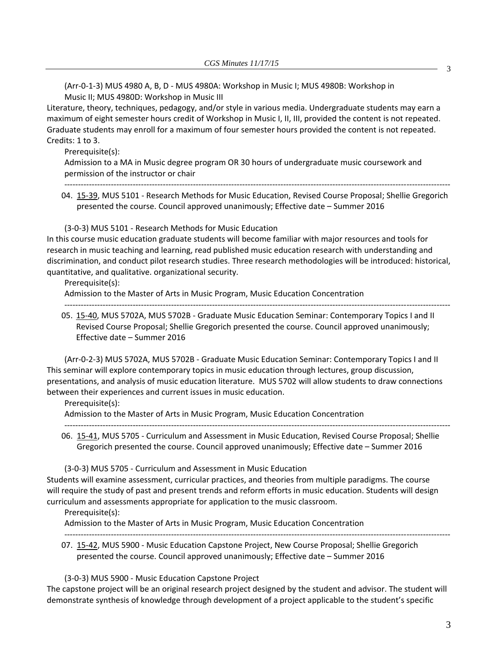(Arr-0-1-3) MUS 4980 A, B, D - MUS 4980A: Workshop in Music I; MUS 4980B: Workshop in Music II; MUS 4980D: Workshop in Music III

Literature, theory, techniques, pedagogy, and/or style in various media. Undergraduate students may earn a maximum of eight semester hours credit of Workshop in Music I, II, III, provided the content is not repeated. Graduate students may enroll for a maximum of four semester hours provided the content is not repeated. Credits: 1 to 3.

Prerequisite(s):

Admission to a MA in Music degree program OR 30 hours of undergraduate music coursework and permission of the instructor or chair

04. [15-39,](http://castle.eiu.edu/~eiucgs/currentagendaitems/agenda15-39.pdf) MUS 5101 - Research Methods for Music Education, Revised Course Proposal; Shellie Gregorich presented the course. Council approved unanimously; Effective date – Summer 2016

---------------------------------------------------------------------------------------------------------------------------------------------

(3-0-3) MUS 5101 - Research Methods for Music Education

In this course music education graduate students will become familiar with major resources and tools for research in music teaching and learning, read published music education research with understanding and discrimination, and conduct pilot research studies. Three research methodologies will be introduced: historical, quantitative, and qualitative. organizational security.

Prerequisite(s):

Admission to the Master of Arts in Music Program, Music Education Concentration

---------------------------------------------------------------------------------------------------------------------------------------------

05. [15-40,](http://castle.eiu.edu/~eiucgs/currentagendaitems/agenda15-40.pdf) MUS 5702A, MUS 5702B - Graduate Music Education Seminar: Contemporary Topics I and II Revised Course Proposal; Shellie Gregorich presented the course. Council approved unanimously;

Effective date – Summer 2016

(Arr-0-2-3) MUS 5702A, MUS 5702B - Graduate Music Education Seminar: Contemporary Topics I and II This seminar will explore contemporary topics in music education through lectures, group discussion, presentations, and analysis of music education literature. MUS 5702 will allow students to draw connections between their experiences and current issues in music education.

Prerequisite(s):

Admission to the Master of Arts in Music Program, Music Education Concentration

06. [15-41,](http://castle.eiu.edu/~eiucgs/currentagendaitems/agenda15-41.pdf) MUS 5705 - Curriculum and Assessment in Music Education, Revised Course Proposal; Shellie Gregorich presented the course. Council approved unanimously; Effective date – Summer 2016

---------------------------------------------------------------------------------------------------------------------------------------------

(3-0-3) MUS 5705 - Curriculum and Assessment in Music Education Students will examine assessment, curricular practices, and theories from multiple paradigms. The course will require the study of past and present trends and reform efforts in music education. Students will design curriculum and assessments appropriate for application to the music classroom.

Prerequisite(s):

Admission to the Master of Arts in Music Program, Music Education Concentration

07. [15-42,](http://castle.eiu.edu/~eiucgs/currentagendaitems/agenda15-42.pdf) MUS 5900 - Music Education Capstone Project, New Course Proposal; Shellie Gregorich presented the course. Council approved unanimously; Effective date – Summer 2016

---------------------------------------------------------------------------------------------------------------------------------------------

(3-0-3) MUS 5900 - Music Education Capstone Project

The capstone project will be an original research project designed by the student and advisor. The student will demonstrate synthesis of knowledge through development of a project applicable to the student's specific

3

3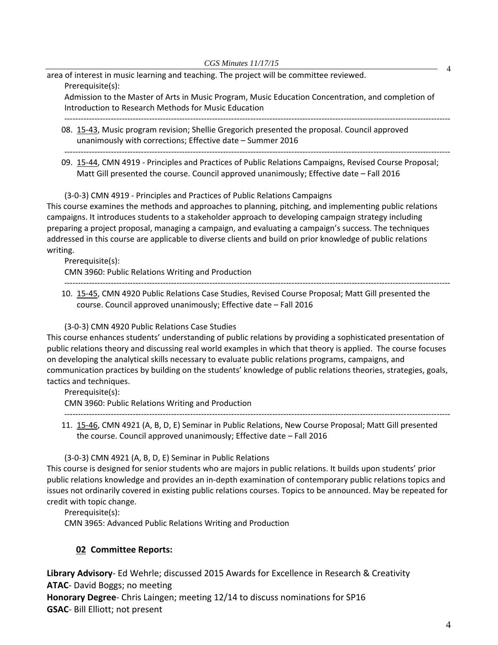area of interest in music learning and teaching. The project will be committee reviewed. Prerequisite(s):

Admission to the Master of Arts in Music Program, Music Education Concentration, and completion of Introduction to Research Methods for Music Education

--------------------------------------------------------------------------------------------------------------------------------------------- 08. [15-43,](http://castle.eiu.edu/~eiucgs/currentagendaitems/agenda15-43.pdf) Music program revision; Shellie Gregorich presented the proposal. Council approved unanimously with corrections; Effective date – Summer 2016

---------------------------------------------------------------------------------------------------------------------------------------------

09. [15-44,](http://castle.eiu.edu/~eiucgs/currentagendaitems/agenda15-44.pdf) CMN 4919 - Principles and Practices of Public Relations Campaigns, Revised Course Proposal; Matt Gill presented the course. Council approved unanimously; Effective date – Fall 2016

(3-0-3) CMN 4919 - Principles and Practices of Public Relations Campaigns

This course examines the methods and approaches to planning, pitching, and implementing public relations campaigns. It introduces students to a stakeholder approach to developing campaign strategy including preparing a project proposal, managing a campaign, and evaluating a campaign's success. The techniques addressed in this course are applicable to diverse clients and build on prior knowledge of public relations writing.

Prerequisite(s):

CMN 3960: Public Relations Writing and Production

10. [15-45,](http://castle.eiu.edu/~eiucgs/currentagendaitems/agenda15-45.pdf) CMN 4920 Public Relations Case Studies, Revised Course Proposal; Matt Gill presented the course. Council approved unanimously; Effective date – Fall 2016

---------------------------------------------------------------------------------------------------------------------------------------------

(3-0-3) CMN 4920 Public Relations Case Studies

This course enhances students' understanding of public relations by providing a sophisticated presentation of public relations theory and discussing real world examples in which that theory is applied. The course focuses on developing the analytical skills necessary to evaluate public relations programs, campaigns, and communication practices by building on the students' knowledge of public relations theories, strategies, goals, tactics and techniques.

Prerequisite(s): CMN 3960: Public Relations Writing and Production ---------------------------------------------------------------------------------------------------------------------------------------------

11. [15-46,](http://castle.eiu.edu/~eiucgs/currentagendaitems/agenda15-46.pdf) CMN 4921 (A, B, D, E) Seminar in Public Relations, New Course Proposal; Matt Gill presented the course. Council approved unanimously; Effective date – Fall 2016

(3-0-3) CMN 4921 (A, B, D, E) Seminar in Public Relations

This course is designed for senior students who are majors in public relations. It builds upon students' prior public relations knowledge and provides an in-depth examination of contemporary public relations topics and issues not ordinarily covered in existing public relations courses. Topics to be announced. May be repeated for credit with topic change.

Prerequisite(s):

CMN 3965: Advanced Public Relations Writing and Production

# **02 Committee Reports:**

**Library Advisory**- Ed Wehrle; discussed 2015 Awards for Excellence in Research & Creativity **ATAC**- David Boggs; no meeting **Honorary Degree**- Chris Laingen; meeting 12/14 to discuss nominations for SP16 **GSAC**- Bill Elliott; not present

4